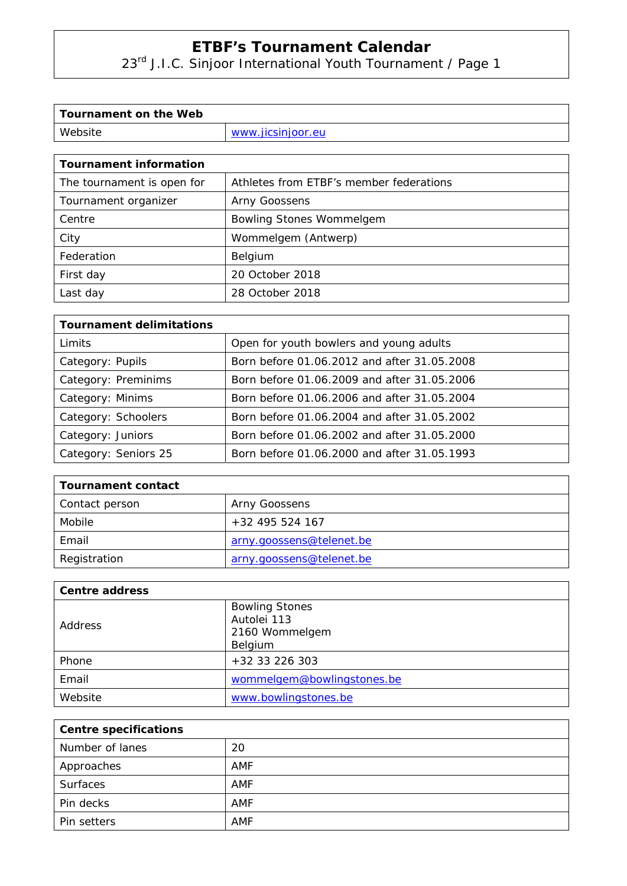23<sup>rd</sup> J.I.C. Sinjoor International Youth Tournament / Page 1

| Tournament on the Web |                   |
|-----------------------|-------------------|
| Website               | www.jicsinjoor.eu |

| <b>Tournament information</b> |                                         |
|-------------------------------|-----------------------------------------|
| The tournament is open for    | Athletes from ETBF's member federations |
| Tournament organizer          | Arny Goossens                           |
| Centre                        | <b>Bowling Stones Wommelgem</b>         |
| City                          | Wommelgem (Antwerp)                     |
| Federation                    | Belgium                                 |
| First day                     | 20 October 2018                         |
| Last day                      | 28 October 2018                         |

| <b>Tournament delimitations</b> |                                             |  |  |
|---------------------------------|---------------------------------------------|--|--|
| Limits                          | Open for youth bowlers and young adults     |  |  |
| Category: Pupils                | Born before 01.06.2012 and after 31.05.2008 |  |  |
| Category: Preminims             | Born before 01.06.2009 and after 31.05.2006 |  |  |
| Category: Minims                | Born before 01.06.2006 and after 31.05.2004 |  |  |
| Category: Schoolers             | Born before 01.06.2004 and after 31.05.2002 |  |  |
| Category: Juniors               | Born before 01.06.2002 and after 31.05.2000 |  |  |
| Category: Seniors 25            | Born before 01.06.2000 and after 31.05.1993 |  |  |

| <b>Tournament contact</b> |                          |  |
|---------------------------|--------------------------|--|
| Contact person            | Arny Goossens            |  |
| Mobile                    | $+32$ 495 524 167        |  |
| Email                     | arny.goossens@telenet.be |  |
| Registration              | arny.goossens@telenet.be |  |

| <b>Centre address</b> |                            |
|-----------------------|----------------------------|
| Address               | <b>Bowling Stones</b>      |
|                       | Autolei 113                |
|                       | 2160 Wommelgem             |
|                       | Belgium                    |
| Phone                 | +32 33 226 303             |
| Email                 | wommelgem@bowlingstones.be |
| Website               | www.bowlingstones.be       |

| <b>Centre specifications</b> |            |  |
|------------------------------|------------|--|
| Number of lanes              | 20         |  |
| Approaches                   | AMF        |  |
| Surfaces                     | AMF        |  |
| Pin decks                    | AMF        |  |
| Pin setters                  | <b>AMF</b> |  |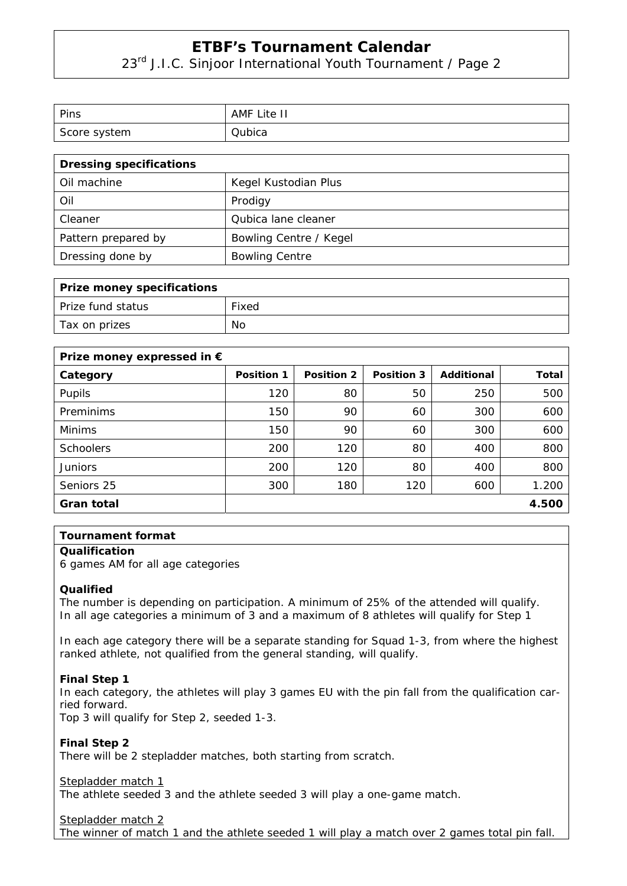23<sup>rd</sup> J.I.C. Sinjoor International Youth Tournament / Page 2

| Pins         | AMF<br>Lite II |
|--------------|----------------|
| Score system | Qubica         |

| <b>Dressing specifications</b> |                        |  |
|--------------------------------|------------------------|--|
| Oil machine                    | Kegel Kustodian Plus   |  |
| Oil                            | Prodigy                |  |
| Cleaner                        | Qubica lane cleaner    |  |
| Pattern prepared by            | Bowling Centre / Kegel |  |
| Dressing done by               | <b>Bowling Centre</b>  |  |

| <b>Prize money specifications</b> |       |  |
|-----------------------------------|-------|--|
| Prize fund status                 | Fixed |  |
| Tax on prizes                     | No    |  |

| Prize money expressed in $\epsilon$ |                   |                   |            |            |              |
|-------------------------------------|-------------------|-------------------|------------|------------|--------------|
| Category                            | <b>Position 1</b> | <b>Position 2</b> | Position 3 | Additional | <b>Total</b> |
| Pupils                              | 120               | 80                | 50         | 250        | 500          |
| Preminims                           | 150               | 90                | 60         | 300        | 600          |
| <b>Minims</b>                       | 150               | 90                | 60         | 300        | 600          |
| <b>Schoolers</b>                    | 200               | 120               | 80         | 400        | 800          |
| <b>Juniors</b>                      | 200               | 120               | 80         | 400        | 800          |
| Seniors 25                          | 300               | 180               | 120        | 600        | 1.200        |
| Gran total                          |                   |                   |            |            | 4.500        |

## **Tournament format**

### **Qualification**

6 games AM for all age categories

### **Qualified**

The number is depending on participation. A minimum of 25% of the attended will qualify. In all age categories a minimum of 3 and a maximum of 8 athletes will qualify for Step 1

In each age category there will be a separate standing for Squad 1-3, from where the highest ranked athlete, not qualified from the general standing, will qualify.

### **Final Step 1**

In each category, the athletes will play 3 games EU with the pin fall from the qualification carried forward.

Top 3 will qualify for Step 2, seeded 1-3.

**Final Step 2**  There will be 2 stepladder matches, both starting from scratch.

Stepladder match 1

The athlete seeded 3 and the athlete seeded 3 will play a one-game match.

Stepladder match 2

The winner of match 1 and the athlete seeded 1 will play a match over 2 games total pin fall.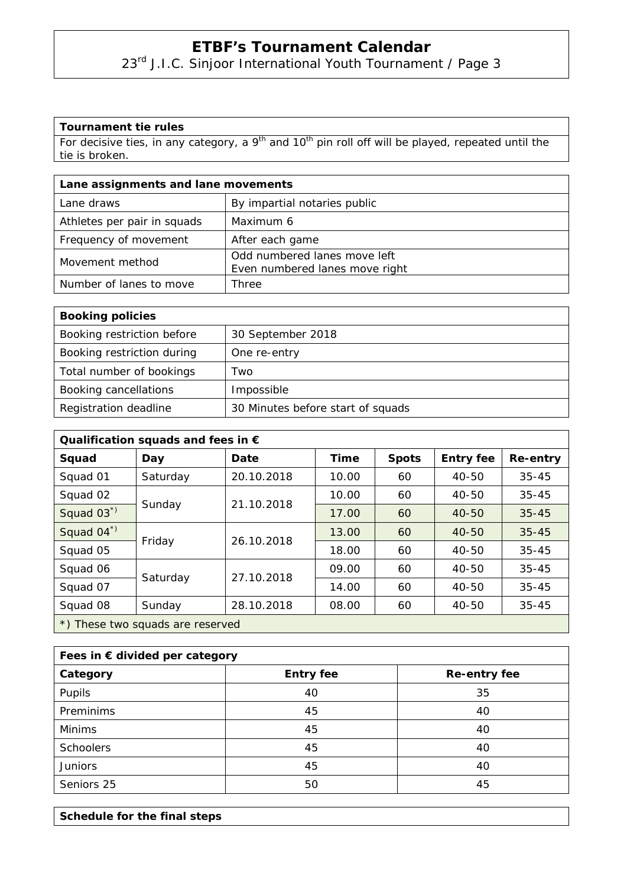23<sup>rd</sup> J.I.C. Sinjoor International Youth Tournament / Page 3

## **Tournament tie rules**

For decisive ties, in any category, a 9<sup>th</sup> and 10<sup>th</sup> pin roll off will be played, repeated until the tie is broken.

| Lane assignments and lane movements |                                                                |  |
|-------------------------------------|----------------------------------------------------------------|--|
| Lane draws                          | By impartial notaries public                                   |  |
| Athletes per pair in squads         | Maximum 6                                                      |  |
| Frequency of movement               | After each game                                                |  |
| Movement method                     | Odd numbered lanes move left<br>Even numbered lanes move right |  |
| Number of lanes to move             | Three                                                          |  |

| <b>Booking policies</b>    |                                   |  |
|----------------------------|-----------------------------------|--|
| Booking restriction before | 30 September 2018                 |  |
| Booking restriction during | One re-entry                      |  |
| Total number of bookings   | Two                               |  |
| Booking cancellations      | Impossible                        |  |
| Registration deadline      | 30 Minutes before start of squads |  |

| Qualification squads and fees in $\epsilon$ |          |            |             |              |                  |           |  |  |
|---------------------------------------------|----------|------------|-------------|--------------|------------------|-----------|--|--|
| Squad                                       | Day      | Date       | <b>Time</b> | <b>Spots</b> | <b>Entry fee</b> | Re-entry  |  |  |
| Squad 01                                    | Saturday | 20.10.2018 | 10.00       | 60           | $40 - 50$        | $35 - 45$ |  |  |
| Squad 02                                    | Sunday   | 21.10.2018 | 10.00       | 60           | $40 - 50$        | $35 - 45$ |  |  |
| Squad 03*)                                  |          |            | 17.00       | 60           | $40 - 50$        | $35 - 45$ |  |  |
| Squad 04*)                                  | Friday   | 26.10.2018 | 13.00       | 60           | $40 - 50$        | $35 - 45$ |  |  |
| Squad 05                                    |          |            | 18.00       | 60           | $40 - 50$        | $35 - 45$ |  |  |
| Squad 06                                    | Saturday | 27.10.2018 | 09.00       | 60           | $40 - 50$        | $35 - 45$ |  |  |
| Squad 07                                    |          |            | 14.00       | 60           | $40 - 50$        | $35 - 45$ |  |  |
| Squad 08                                    | Sunday   | 28.10.2018 | 08.00       | 60           | 40-50            | $35 - 45$ |  |  |
| *) These two squads are reserved            |          |            |             |              |                  |           |  |  |

| Fees in € divided per category |                  |                     |  |  |  |
|--------------------------------|------------------|---------------------|--|--|--|
| Category                       | <b>Entry fee</b> | <b>Re-entry fee</b> |  |  |  |
| Pupils                         | 40               | 35                  |  |  |  |
| Preminims                      | 45               | 40                  |  |  |  |
| <b>Minims</b>                  | 45               | 40                  |  |  |  |
| <b>Schoolers</b>               | 45               | 40                  |  |  |  |
| <b>Juniors</b>                 | 45               | 40                  |  |  |  |
| Seniors 25                     | 50               | 45                  |  |  |  |

**Schedule for the final steps**